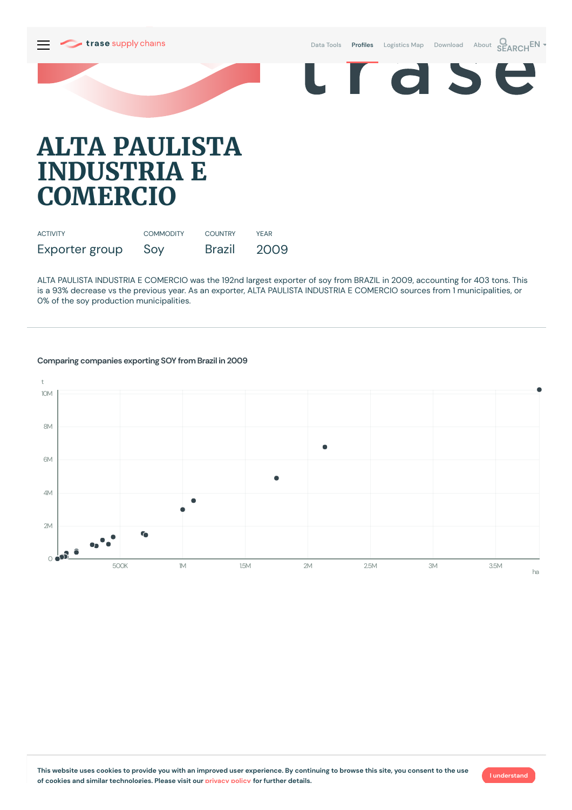

Data [Tools](https://supplychains.trase.earth/explore) **Profiles** [Logistics](https://supplychains.trase.earth/logistics-map) Map [Download](https://supplychains.trase.earth/data) [About](https://supplychains.trase.earth/about) **SEARCH<sup>EN</sup>** 



## **ALTA PAULISTA INDUSTRIA E COMERCIO**

| <b>ACTIVITY</b> | <b>COMMODITY</b> | <b>COUNTRY</b> | <b>YFAR</b> |
|-----------------|------------------|----------------|-------------|
| Exporter group  | Soy              | <b>Brazil</b>  | 2009        |

ALTA PAULISTA INDUSTRIA E COMERCIO was the 192nd largest exporter of soy from BRAZIL in 2009, accounting for 403 tons. This is a 93% decrease vs the previous year. As an exporter, ALTA PAULISTA INDUSTRIA E COMERCIO sources from 1 municipalities, or 0% of the soy production municipalities.



## **Comparing companies exporting SOY from Brazil in 2009**

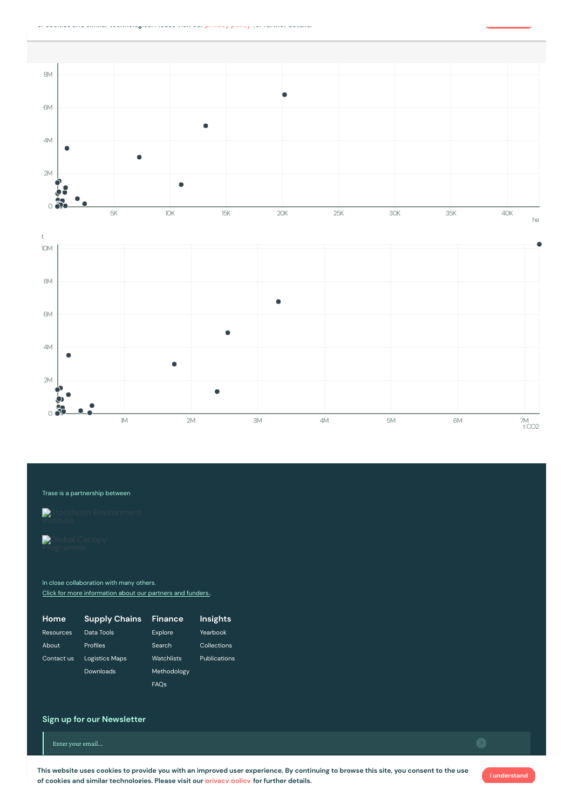



## Trase is a partnership between

Stockholm [Environment](https://sei-international.org/)

In close collaboration with many others. Click for more [information](https://www.trase.earth/about/) about our partners and funders.

| Home       | <b>Supply Chains</b>  | Finance     | Insights     |
|------------|-----------------------|-------------|--------------|
| Resources  | Data Tools            | Explore     | Yearbook     |
| About      | Profiles              | Search      | Collections  |
| Contact us | <b>Logistics Maps</b> | Watchlists  | Publications |
|            | Downloads             | Methodology |              |
|            |                       | <b>FAOs</b> |              |

## **Sign up for our Newsletter**

Enter your email...

This website uses cookies to provide you with an improved user experience. By continuing to browse this site, you consent to the use **of cookies and similar technologies. Please visit our [privacy](https://www.trase.earth/privacy-policy) policy for further details.**